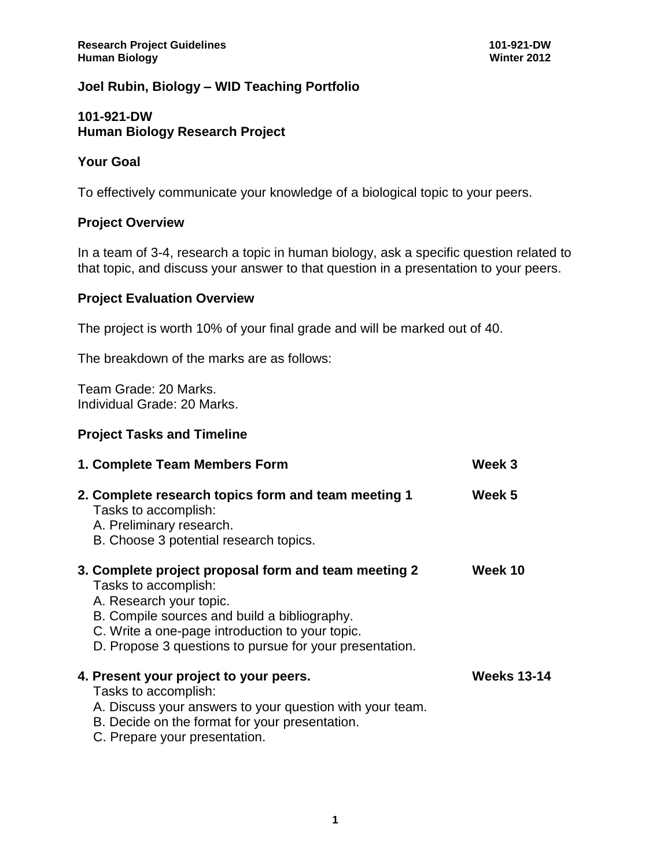## **Joel Rubin, Biology – WID Teaching Portfolio**

#### **101-921-DW Human Biology Research Project**

#### **Your Goal**

To effectively communicate your knowledge of a biological topic to your peers.

#### **Project Overview**

In a team of 3-4, research a topic in human biology, ask a specific question related to that topic, and discuss your answer to that question in a presentation to your peers.

# **Project Evaluation Overview**

The project is worth 10% of your final grade and will be marked out of 40.

The breakdown of the marks are as follows:

Team Grade: 20 Marks. Individual Grade: 20 Marks.

#### **Project Tasks and Timeline**

| 1. Complete Team Members Form                                                                                                                                                                                                                                         | Week 3             |
|-----------------------------------------------------------------------------------------------------------------------------------------------------------------------------------------------------------------------------------------------------------------------|--------------------|
| 2. Complete research topics form and team meeting 1<br>Tasks to accomplish:<br>A. Preliminary research.<br>B. Choose 3 potential research topics.                                                                                                                     | Week 5             |
| 3. Complete project proposal form and team meeting 2<br>Tasks to accomplish:<br>A. Research your topic.<br>B. Compile sources and build a bibliography.<br>C. Write a one-page introduction to your topic.<br>D. Propose 3 questions to pursue for your presentation. | Week 10            |
| 4. Present your project to your peers.<br>Tasks to accomplish:<br>A. Discuss your answers to your question with your team.<br>B. Decide on the format for your presentation.<br>C. Prepare your presentation.                                                         | <b>Weeks 13-14</b> |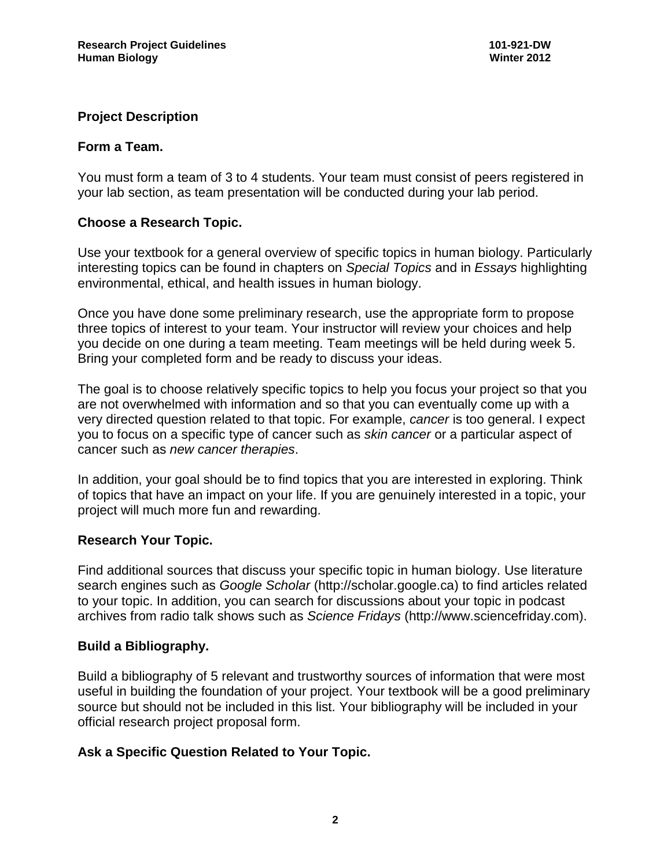## **Project Description**

### **Form a Team.**

You must form a team of 3 to 4 students. Your team must consist of peers registered in your lab section, as team presentation will be conducted during your lab period.

### **Choose a Research Topic.**

Use your textbook for a general overview of specific topics in human biology. Particularly interesting topics can be found in chapters on *Special Topics* and in *Essays* highlighting environmental, ethical, and health issues in human biology.

Once you have done some preliminary research, use the appropriate form to propose three topics of interest to your team. Your instructor will review your choices and help you decide on one during a team meeting. Team meetings will be held during week 5. Bring your completed form and be ready to discuss your ideas.

The goal is to choose relatively specific topics to help you focus your project so that you are not overwhelmed with information and so that you can eventually come up with a very directed question related to that topic. For example, *cancer* is too general. I expect you to focus on a specific type of cancer such as *skin cancer* or a particular aspect of cancer such as *new cancer therapies*.

In addition, your goal should be to find topics that you are interested in exploring. Think of topics that have an impact on your life. If you are genuinely interested in a topic, your project will much more fun and rewarding.

### **Research Your Topic.**

Find additional sources that discuss your specific topic in human biology. Use literature search engines such as *Google Scholar* (http://scholar.google.ca) to find articles related to your topic. In addition, you can search for discussions about your topic in podcast archives from radio talk shows such as *Science Fridays* (http://www.sciencefriday.com).

### **Build a Bibliography.**

Build a bibliography of 5 relevant and trustworthy sources of information that were most useful in building the foundation of your project. Your textbook will be a good preliminary source but should not be included in this list. Your bibliography will be included in your official research project proposal form.

### **Ask a Specific Question Related to Your Topic.**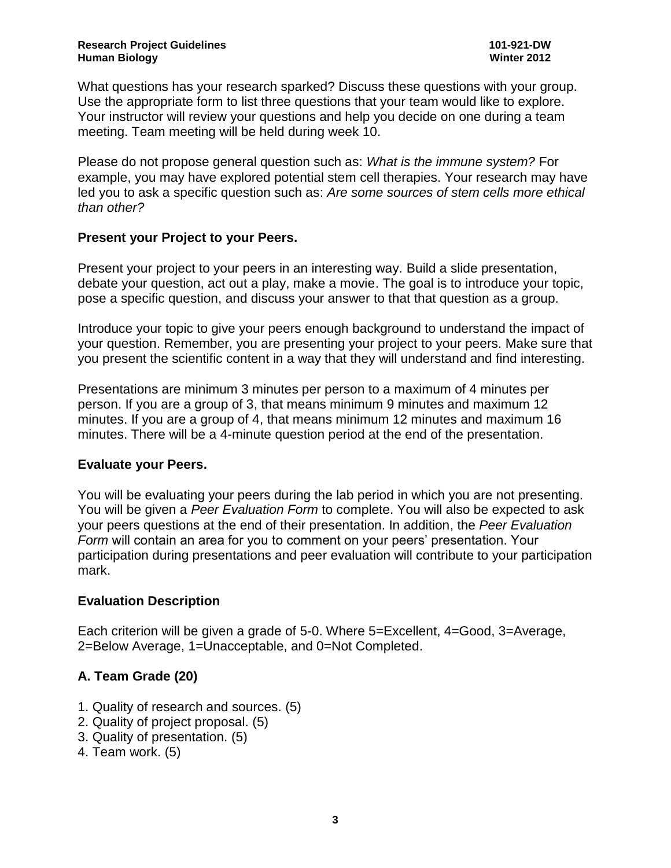What questions has your research sparked? Discuss these questions with your group. Use the appropriate form to list three questions that your team would like to explore. Your instructor will review your questions and help you decide on one during a team meeting. Team meeting will be held during week 10.

Please do not propose general question such as: *What is the immune system?* For example, you may have explored potential stem cell therapies. Your research may have led you to ask a specific question such as: *Are some sources of stem cells more ethical than other?*

## **Present your Project to your Peers.**

Present your project to your peers in an interesting way. Build a slide presentation, debate your question, act out a play, make a movie. The goal is to introduce your topic, pose a specific question, and discuss your answer to that that question as a group.

Introduce your topic to give your peers enough background to understand the impact of your question. Remember, you are presenting your project to your peers. Make sure that you present the scientific content in a way that they will understand and find interesting.

Presentations are minimum 3 minutes per person to a maximum of 4 minutes per person. If you are a group of 3, that means minimum 9 minutes and maximum 12 minutes. If you are a group of 4, that means minimum 12 minutes and maximum 16 minutes. There will be a 4-minute question period at the end of the presentation.

### **Evaluate your Peers.**

You will be evaluating your peers during the lab period in which you are not presenting. You will be given a *Peer Evaluation Form* to complete. You will also be expected to ask your peers questions at the end of their presentation. In addition, the *Peer Evaluation Form* will contain an area for you to comment on your peers' presentation. Your participation during presentations and peer evaluation will contribute to your participation mark.

### **Evaluation Description**

Each criterion will be given a grade of 5-0. Where 5=Excellent, 4=Good, 3=Average, 2=Below Average, 1=Unacceptable, and 0=Not Completed.

## **A. Team Grade (20)**

- 1. Quality of research and sources. (5)
- 2. Quality of project proposal. (5)
- 3. Quality of presentation. (5)
- 4. Team work. (5)